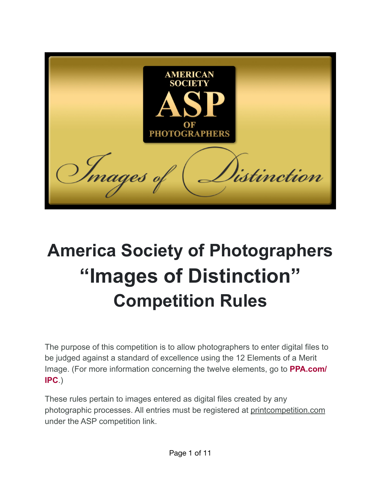AMERICAN **SOCIET** Images listinction

# **America Society of Photographers "Images of Distinction" Competition Rules**

The purpose of this competition is to allow photographers to enter digital files to be judged against a standard of excellence using the 12 Elements of a Merit Image. (For more information concerning the twelve elements, go to **[PPA.com/](http://ppa.com/IPC) [IPC](http://ppa.com/IPC)**.)

These rules pertain to images entered as digital files created by any photographic processes. All entries must be registered at [printcompetition.com](http://printcompetition.com) under the ASP competition link.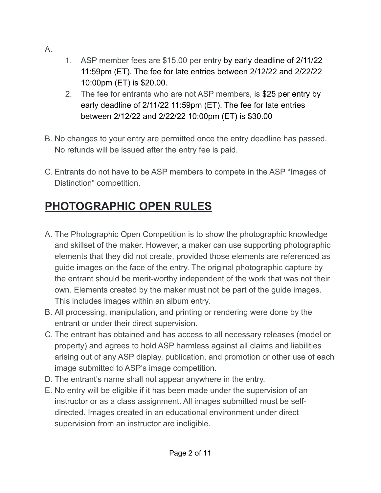- A.
- 1. ASP member fees are \$15.00 per entry by early deadline of 2/11/22 11:59pm (ET). The fee for late entries between 2/12/22 and 2/22/22 10:00pm (ET) is \$20.00.
- 2. The fee for entrants who are not ASP members, is \$25 per entry by early deadline of 2/11/22 11:59pm (ET). The fee for late entries between 2/12/22 and 2/22/22 10:00pm (ET) is \$30.00
- B. No changes to your entry are permitted once the entry deadline has passed. No refunds will be issued after the entry fee is paid.
- C. Entrants do not have to be ASP members to compete in the ASP "Images of Distinction" competition.

# **PHOTOGRAPHIC OPEN RULES**

- A. The Photographic Open Competition is to show the photographic knowledge and skillset of the maker. However, a maker can use supporting photographic elements that they did not create, provided those elements are referenced as guide images on the face of the entry. The original photographic capture by the entrant should be merit-worthy independent of the work that was not their own. Elements created by the maker must not be part of the guide images. This includes images within an album entry.
- B. All processing, manipulation, and printing or rendering were done by the entrant or under their direct supervision.
- C. The entrant has obtained and has access to all necessary releases (model or property) and agrees to hold ASP harmless against all claims and liabilities arising out of any ASP display, publication, and promotion or other use of each image submitted to ASP's image competition.
- D. The entrant's name shall not appear anywhere in the entry.
- E. No entry will be eligible if it has been made under the supervision of an instructor or as a class assignment. All images submitted must be selfdirected. Images created in an educational environment under direct supervision from an instructor are ineligible.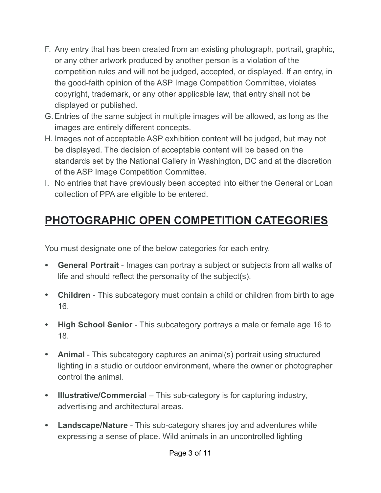- F. Any entry that has been created from an existing photograph, portrait, graphic, or any other artwork produced by another person is a violation of the competition rules and will not be judged, accepted, or displayed. If an entry, in the good-faith opinion of the ASP Image Competition Committee, violates copyright, trademark, or any other applicable law, that entry shall not be displayed or published.
- G.Entries of the same subject in multiple images will be allowed, as long as the images are entirely different concepts.
- H. Images not of acceptable ASP exhibition content will be judged, but may not be displayed. The decision of acceptable content will be based on the standards set by the National Gallery in Washington, DC and at the discretion of the ASP Image Competition Committee.
- I. No entries that have previously been accepted into either the General or Loan collection of PPA are eligible to be entered.

# **PHOTOGRAPHIC OPEN COMPETITION CATEGORIES**

You must designate one of the below categories for each entry.

- **General Portrait**  Images can portray a subject or subjects from all walks of life and should reflect the personality of the subject(s).
- **Children** This subcategory must contain a child or children from birth to age 16.
- **High School Senior** This subcategory portrays a male or female age 16 to 18.
- **Animal**  This subcategory captures an animal(s) portrait using structured lighting in a studio or outdoor environment, where the owner or photographer control the animal.
- **Illustrative/Commercial** This sub-category is for capturing industry, advertising and architectural areas.
- **Landscape/Nature**  This sub-category shares joy and adventures while expressing a sense of place. Wild animals in an uncontrolled lighting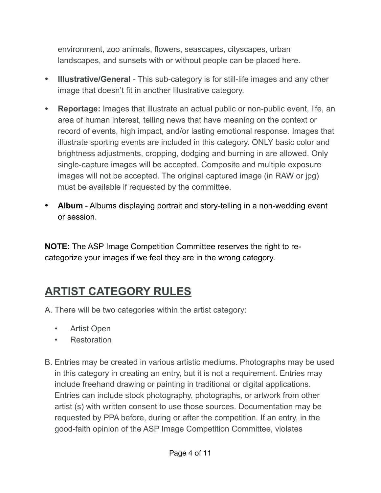environment, zoo animals, flowers, seascapes, cityscapes, urban landscapes, and sunsets with or without people can be placed here.

- **Illustrative/General** This sub-category is for still-life images and any other image that doesn't fit in another Illustrative category.
- **Reportage:** Images that illustrate an actual public or non-public event, life, an area of human interest, telling news that have meaning on the context or record of events, high impact, and/or lasting emotional response. Images that illustrate sporting events are included in this category. ONLY basic color and brightness adjustments, cropping, dodging and burning in are allowed. Only single-capture images will be accepted. Composite and multiple exposure images will not be accepted. The original captured image (in RAW or jpg) must be available if requested by the committee.
- **Album**  Albums displaying portrait and story-telling in a non-wedding event or session.

**NOTE:** The ASP Image Competition Committee reserves the right to recategorize your images if we feel they are in the wrong category.

### **ARTIST CATEGORY RULES**

A. There will be two categories within the artist category:

- Artist Open
- Restoration
- B. Entries may be created in various artistic mediums. Photographs may be used in this category in creating an entry, but it is not a requirement. Entries may include freehand drawing or painting in traditional or digital applications. Entries can include stock photography, photographs, or artwork from other artist (s) with written consent to use those sources. Documentation may be requested by PPA before, during or after the competition. If an entry, in the good-faith opinion of the ASP Image Competition Committee, violates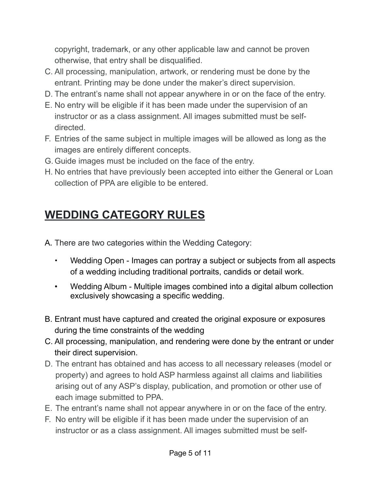copyright, trademark, or any other applicable law and cannot be proven otherwise, that entry shall be disqualified.

- C. All processing, manipulation, artwork, or rendering must be done by the entrant. Printing may be done under the maker's direct supervision.
- D. The entrant's name shall not appear anywhere in or on the face of the entry.
- E. No entry will be eligible if it has been made under the supervision of an instructor or as a class assignment. All images submitted must be selfdirected.
- F. Entries of the same subject in multiple images will be allowed as long as the images are entirely different concepts.
- G. Guide images must be included on the face of the entry.
- H. No entries that have previously been accepted into either the General or Loan collection of PPA are eligible to be entered.

# **WEDDING CATEGORY RULES**

A. There are two categories within the Wedding Category:

- Wedding Open Images can portray a subject or subjects from all aspects of a wedding including traditional portraits, candids or detail work.
- Wedding Album Multiple images combined into a digital album collection exclusively showcasing a specific wedding.
- B. Entrant must have captured and created the original exposure or exposures during the time constraints of the wedding
- C. All processing, manipulation, and rendering were done by the entrant or under their direct supervision.
- D. The entrant has obtained and has access to all necessary releases (model or property) and agrees to hold ASP harmless against all claims and liabilities arising out of any ASP's display, publication, and promotion or other use of each image submitted to PPA.
- E. The entrant's name shall not appear anywhere in or on the face of the entry.
- F. No entry will be eligible if it has been made under the supervision of an instructor or as a class assignment. All images submitted must be self-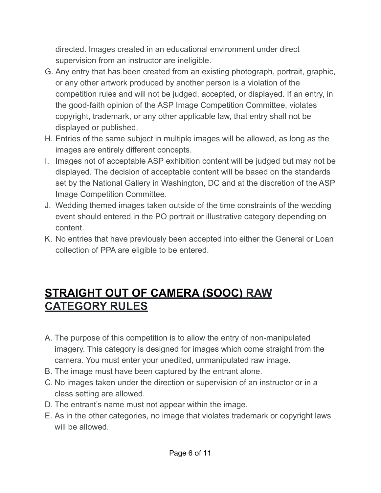directed. Images created in an educational environment under direct supervision from an instructor are ineligible.

- G. Any entry that has been created from an existing photograph, portrait, graphic, or any other artwork produced by another person is a violation of the competition rules and will not be judged, accepted, or displayed. If an entry, in the good-faith opinion of the ASP Image Competition Committee, violates copyright, trademark, or any other applicable law, that entry shall not be displayed or published.
- H. Entries of the same subject in multiple images will be allowed, as long as the images are entirely different concepts.
- I. Images not of acceptable ASP exhibition content will be judged but may not be displayed. The decision of acceptable content will be based on the standards set by the National Gallery in Washington, DC and at the discretion of the ASP Image Competition Committee.
- J. Wedding themed images taken outside of the time constraints of the wedding event should entered in the PO portrait or illustrative category depending on content.
- K. No entries that have previously been accepted into either the General or Loan collection of PPA are eligible to be entered.

#### **STRAIGHT OUT OF CAMERA (SOOC) RAW CATEGORY RULES**

- A. The purpose of this competition is to allow the entry of non-manipulated imagery. This category is designed for images which come straight from the camera. You must enter your unedited, unmanipulated raw image.
- B. The image must have been captured by the entrant alone.
- C. No images taken under the direction or supervision of an instructor or in a class setting are allowed.
- D. The entrant's name must not appear within the image.
- E. As in the other categories, no image that violates trademark or copyright laws will be allowed.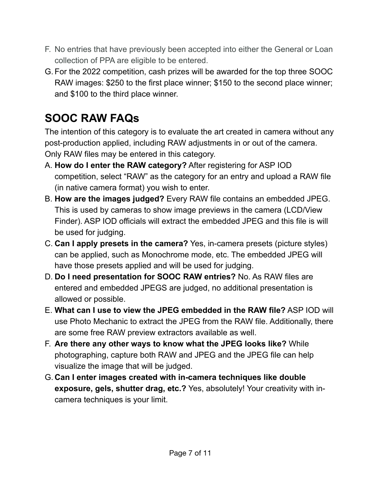- F. No entries that have previously been accepted into either the General or Loan collection of PPA are eligible to be entered.
- G. For the 2022 competition, cash prizes will be awarded for the top three SOOC RAW images: \$250 to the first place winner; \$150 to the second place winner; and \$100 to the third place winner.

# **SOOC RAW FAQs**

The intention of this category is to evaluate the art created in camera without any post-production applied, including RAW adjustments in or out of the camera. Only RAW files may be entered in this category.

- A. **How do I enter the RAW category?** After registering for ASP IOD competition, select "RAW" as the category for an entry and upload a RAW file (in native camera format) you wish to enter.
- B. **How are the images judged?** Every RAW file contains an embedded JPEG. This is used by cameras to show image previews in the camera (LCD/View Finder). ASP IOD officials will extract the embedded JPEG and this file is will be used for judging.
- C. **Can I apply presets in the camera?** Yes, in-camera presets (picture styles) can be applied, such as Monochrome mode, etc. The embedded JPEG will have those presets applied and will be used for judging.
- D. **Do I need presentation for SOOC RAW entries?** No. As RAW files are entered and embedded JPEGS are judged, no additional presentation is allowed or possible.
- E. **What can I use to view the JPEG embedded in the RAW file?** ASP IOD will use Photo Mechanic to extract the JPEG from the RAW file. Additionally, there are some free RAW preview extractors available as well.
- F. **Are there any other ways to know what the JPEG looks like?** While photographing, capture both RAW and JPEG and the JPEG file can help visualize the image that will be judged.
- G. **Can I enter images created with in-camera techniques like double exposure, gels, shutter drag, etc.?** Yes, absolutely! Your creativity with incamera techniques is your limit.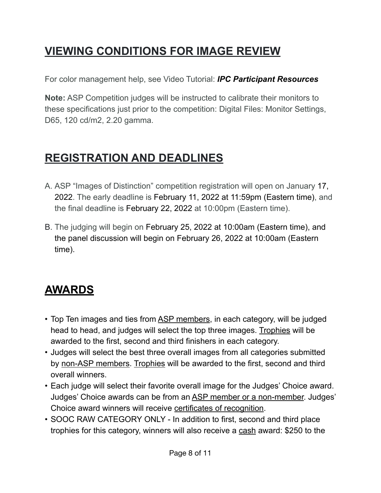# **VIEWING CONDITIONS FOR IMAGE REVIEW**

For color management help, see Video Tutorial: *[IPC Participant Resources](https://www.ppa.com/events/photo-competitions/ipc-resources)*

**Note:** ASP Competition judges will be instructed to calibrate their monitors to these specifications just prior to the competition: Digital Files: Monitor Settings, D65, 120 cd/m2, 2.20 gamma.

### **REGISTRATION AND DEADLINES**

- A. ASP "Images of Distinction" competition registration will open on January 17, 2022. The early deadline is February 11, 2022 at 11:59pm (Eastern time), and the final deadline is February 22, 2022 at 10:00pm (Eastern time).
- B. The judging will begin on February 25, 2022 at 10:00am (Eastern time), and the panel discussion will begin on February 26, 2022 at 10:00am (Eastern time).

# **AWARDS**

- Top Ten images and ties from ASP members, in each category, will be judged head to head, and judges will select the top three images. Trophies will be awarded to the first, second and third finishers in each category.
- Judges will select the best three overall images from all categories submitted by non-ASP members. Trophies will be awarded to the first, second and third overall winners.
- Each judge will select their favorite overall image for the Judges' Choice award. Judges' Choice awards can be from an ASP member or a non-member. Judges' Choice award winners will receive certificates of recognition.
- SOOC RAW CATEGORY ONLY In addition to first, second and third place trophies for this category, winners will also receive a cash award: \$250 to the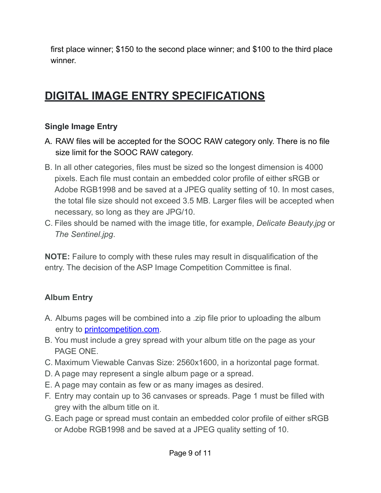first place winner; \$150 to the second place winner; and \$100 to the third place winner.

### **DIGITAL IMAGE ENTRY SPECIFICATIONS**

#### **Single Image Entry**

- A. RAW files will be accepted for the SOOC RAW category only. There is no file size limit for the SOOC RAW category.
- B. In all other categories, files must be sized so the longest dimension is 4000 pixels. Each file must contain an embedded color profile of either sRGB or Adobe RGB1998 and be saved at a JPEG quality setting of 10. In most cases, the total file size should not exceed 3.5 MB. Larger files will be accepted when necessary, so long as they are JPG/10.
- C. Files should be named with the image title, for example, *Delicate Beauty.jpg* or *The Sentinel.jpg*.

**NOTE:** Failure to comply with these rules may result in disqualification of the entry. The decision of the ASP Image Competition Committee is final.

#### **Album Entry**

- A. Albums pages will be combined into a .zip file prior to uploading the album entry to [printcompetition.com](http://printcompetition.com).
- B. You must include a grey spread with your album title on the page as your PAGE ONE.
- C. Maximum Viewable Canvas Size: 2560x1600, in a horizontal page format.
- D. A page may represent a single album page or a spread.
- E. A page may contain as few or as many images as desired.
- F. Entry may contain up to 36 canvases or spreads. Page 1 must be filled with grey with the album title on it.
- G.Each page or spread must contain an embedded color profile of either sRGB or Adobe RGB1998 and be saved at a JPEG quality setting of 10.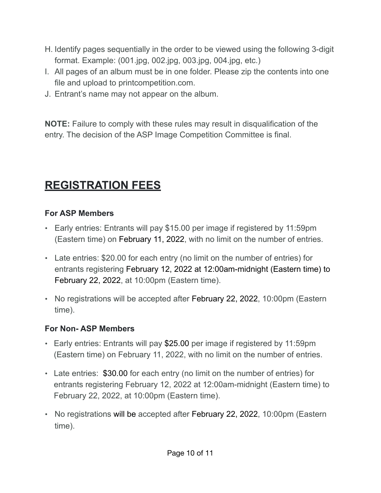- H. Identify pages sequentially in the order to be viewed using the following 3-digit format. Example: (001.jpg, 002.jpg, 003.jpg, 004.jpg, etc.)
- I. All pages of an album must be in one folder. Please zip the contents into one file and upload to printcompetition.com.
- J. Entrant's name may not appear on the album.

**NOTE:** Failure to comply with these rules may result in disqualification of the entry. The decision of the ASP Image Competition Committee is final.

### **REGISTRATION FEES**

#### **For ASP Members**

- Early entries: Entrants will pay \$15.00 per image if registered by 11:59pm (Eastern time) on February 11, 2022, with no limit on the number of entries.
- Late entries: \$20.00 for each entry (no limit on the number of entries) for entrants registering February 12, 2022 at 12:00am-midnight (Eastern time) to February 22, 2022, at 10:00pm (Eastern time).
- No registrations will be accepted after February 22, 2022, 10:00pm (Eastern time).

#### **For Non- ASP Members**

- Early entries: Entrants will pay \$25.00 per image if registered by 11:59pm (Eastern time) on February 11, 2022, with no limit on the number of entries.
- Late entries: \$30.00 for each entry (no limit on the number of entries) for entrants registering February 12, 2022 at 12:00am-midnight (Eastern time) to February 22, 2022, at 10:00pm (Eastern time).
- No registrations will be accepted after February 22, 2022, 10:00pm (Eastern time).